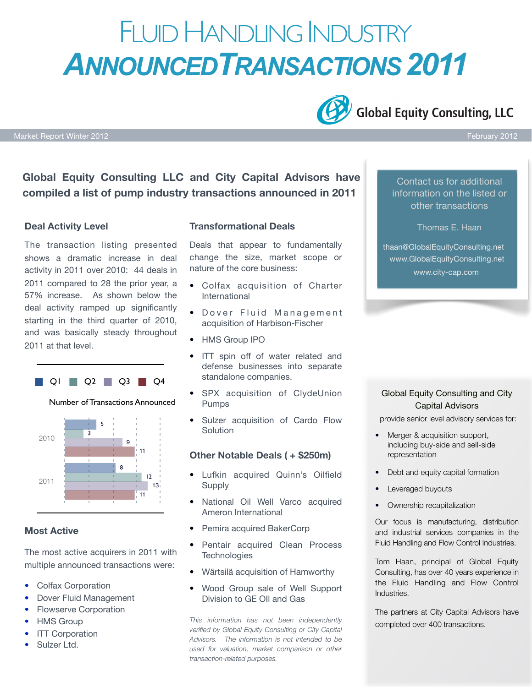# FLUID HANDLING INDUSTRY *ANNOUNCEDTRANSACTIONS 2011*

**Global Equity Consulting, LLC** 

Market Report Winter 2012 February 2012

**Global Equity Consulting LLC and City Capital Advisors have compiled a list of pump industry transactions announced in 2011**

#### **Deal Activity Level**

The transaction listing presented shows a dramatic increase in deal activity in 2011 over 2010: 44 deals in 2011 compared to 28 the prior year, a 57% increase. As shown below the deal activity ramped up significantly starting in the third quarter of 2010, and was basically steady throughout 2011 at that level.







#### **Most Active**

The most active acquirers in 2011 with multiple announced transactions were:

- Colfax Corporation
- Dover Fluid Management
- Flowserve Corporation
- HMS Group
- **ITT Corporation**
- Sulzer Ltd.

#### **Transformational Deals**

Deals that appear to fundamentally change the size, market scope or nature of the core business:

- Colfax acquisition of Charter International
- **Dover Fluid Management** acquisition of Harbison-Fischer
- HMS Group IPO
- ITT spin off of water related and defense businesses into separate standalone companies.
- SPX acquisition of ClydeUnion Pumps
- Sulzer acquisition of Cardo Flow **Solution**

#### **Other Notable Deals ( + \$250m)**

- Lufkin acquired Quinn's Oilfield **Supply**
- National Oil Well Varco acquired Ameron International
- Pemira acquired BakerCorp
- Pentair acquired Clean Process **Technologies**
- Wärtsilä acquisition of Hamworthy
- Wood Group sale of Well Support Division to GE OIl and Gas

*This information has not been independently verified by Global Equity Consulting or City Capital Advisors. The information is not intended to be used for valuation, market comparison or other transaction-related purposes.*

Contact us for additional information on the listed or other transactions

Thomas E. Haan

thaan@GlobalEquityConsulting.net www.GlobalEquityConsulting.net www.city-cap.com

#### Global Equity Consulting and City Capital Advisors

provide senior level advisory services for:

- Merger & acquisition support, including buy-side and sell-side representation
- Debt and equity capital formation
- Leveraged buyouts
- Ownership recapitalization

Our focus is manufacturing, distribution and industrial services companies in the Fluid Handling and Flow Control Industries.

Tom Haan, principal of Global Equity Consulting, has over 40 years experience in the Fluid Handling and Flow Control Industries.

The partners at City Capital Advisors have completed over 400 transactions.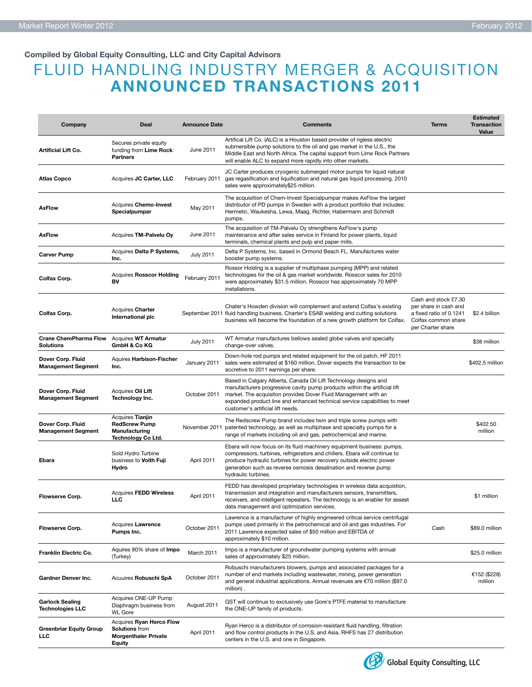#### **Compiled by Global Equity Consulting, LLC and City Capital Advisors**

## FLUID HANDLING INDUSTRY MERGER & ACQUISITION **ANNOUNCED TRANSACTIONS 2011**

| Company                                                       | Deal                                                                                              | <b>Announce Date</b> | <b>Comments</b>                                                                                                                                                                                                                                                                                                                   | <b>Terms</b>                                                                                                         | <b>Estimated</b><br><b>Transaction</b><br>Value |
|---------------------------------------------------------------|---------------------------------------------------------------------------------------------------|----------------------|-----------------------------------------------------------------------------------------------------------------------------------------------------------------------------------------------------------------------------------------------------------------------------------------------------------------------------------|----------------------------------------------------------------------------------------------------------------------|-------------------------------------------------|
| <b>Artificial Lift Co.</b>                                    | Secures private equity<br>funding from Lime Rock<br>Partners                                      | June 2011            | Artifical Lift Co. (ALC) is a Houston based provider of rigless electric<br>submersible pump solutions to the oil and gas market in the U.S., the<br>Middle East and North Africa. The capital support from Lime Rock Partners<br>will enable ALC to expand more rapidly into other markets.                                      |                                                                                                                      |                                                 |
| <b>Atlas Copco</b>                                            | Acquires JC Carter, LLC                                                                           | February 2011        | JC Carter produces cryogenic submerged motor pumps for liquid natural<br>gas regasification and liquification and natural gas liquid processing. 2010<br>sales were approximately\$25 million.                                                                                                                                    |                                                                                                                      |                                                 |
| <b>AxFlow</b>                                                 | Acquires Chemo-Invest<br>Specialpumpar                                                            | May 2011             | The acquisition of Chem-Invest Specialpumpar makes AxFlow the largest<br>distributor of PD pumps in Sweden with a product portfolio that includes:<br>Hermetic, Waukesha, Lewa, Maag, Richter, Habermann and Schmidt<br>pumps.                                                                                                    |                                                                                                                      |                                                 |
| <b>AxFlow</b>                                                 | Acquires TM-Palvelu Oy                                                                            | June 2011            | The acquisition of TM-Palvelu Oy strengthens AxFlow's pump<br>maintenance and after sales service in Finland for power plants, liquid<br>terminals, chemical plants and pulp and paper mills.                                                                                                                                     |                                                                                                                      |                                                 |
| <b>Carver Pump</b>                                            | Acquires Delta P Systems,<br>Inc.                                                                 | <b>July 2011</b>     | Delta P Systems, Inc. based in Ormond Beach FL. Manufactures water<br>booster pump systems.                                                                                                                                                                                                                                       |                                                                                                                      |                                                 |
| Colfax Corp.                                                  | <b>Acquires Rosscor Holding</b><br>BV                                                             | February 2011        | Rossor Holding is a supplier of multiphase pumping (MPP) and related<br>technologies for the oil & gas market worldwide. Rosscor sales for 2010<br>were approximately \$31.5 million. Rosscor has approximately 70 MPP<br>installations.                                                                                          |                                                                                                                      |                                                 |
| Colfax Corp.                                                  | Acquires Charter<br>International plc                                                             |                      | Chater's Howden division will complement and extend Colfax's existing<br>September 2011 fluid handling business. Charter's ESAB welding and cutting solutions<br>business will become the foundation of a new growth platform for Colfax.                                                                                         | Cash and stock £7.30<br>per share in cash and<br>a fixed ratio of 0.1241<br>Colfax common share<br>per Charter share | \$2.4 billion                                   |
| Crane ChemPharma Flow Acquires WT Armatur<br><b>Solutions</b> | GmbH & Co KG                                                                                      | <b>July 2011</b>     | WT Armatur manufactures bellows sealed globe valves and specialty<br>change-over valves.                                                                                                                                                                                                                                          |                                                                                                                      | \$38 million                                    |
| Dover Corp. Fluid<br><b>Management Segment</b>                | Aquires Harbison-Fischer<br>Inc.                                                                  | January 2011         | Down-hole rod pumps and related equipment for the oil patch. HF 2011<br>sales were estimated at \$160 million. Dover expects the transaction to be<br>accretive to 2011 earnings per share.                                                                                                                                       |                                                                                                                      | \$402.5 million                                 |
| Dover Corp. Fluid<br><b>Management Segment</b>                | Acquires Oil Lift<br>Technology Inc.                                                              | October 2011         | Based in Calgary Alberta, Canada Oil Lift Technology designs and<br>manufacturers progressive cavity pump products within the artificial lift<br>market. The acquisiton provides Dover Fluid Management with an<br>expanded product line and enhanced technical service capabilities to meet<br>customer's artificial lift needs. |                                                                                                                      |                                                 |
| Dover Corp. Fluid<br><b>Management Segment</b>                | Acquires Tianjin<br><b>RedScrew Pump</b><br>Manufacturing<br>Technology Co Ltd.                   | November 2011        | The Redscrew Pump brand includes twin and triple screw pumps with<br>patented technology, as well as multiphase and specialty pumps for a<br>range of markets including oil and gas, petrochemical and marine.                                                                                                                    |                                                                                                                      | \$402.50<br>million                             |
| Ebara                                                         | Sold Hydro Turbine<br>business to Voith Fuji<br>Hydro                                             | April 2011           | Ebara will now focus on its fluid machinery equipment business: pumps,<br>compressors, turbines, refrigerators and chillers. Ebara will continue to<br>produce hydraulic turbines for power recovery outside electric power<br>generation such as reverse osmosis desalination and reverse pump<br>hydraulic turbines.            |                                                                                                                      |                                                 |
| <b>Flowserve Corp.</b>                                        | <b>Acquires FEDD Wireless</b><br>LLC                                                              | April 2011           | FEDD has developed proprietary technologies in wireless data acquistion,<br>transmission and integration and manufacturers sensors, transmitters,<br>receivers, and intelligent repeaters. The technology is an enabler for assest<br>data management and optimization services.                                                  |                                                                                                                      | \$1 million                                     |
| <b>Flowserve Corp.</b>                                        | Acquires Lawrence<br>Pumps Inc.                                                                   | October 2011         | Lawrence is a manufacturer of highly engineered critical service centrifugal<br>pumps used primarily in the petrochemical and oil and gas industries. For<br>2011 Lawrence expected sales of \$50 million and EBITDA of<br>approximately \$10 million.                                                                            | Cash                                                                                                                 | \$89.0 million                                  |
| Franklin Electric Co.                                         | Aquires 80% share of Impo<br>(Turkey)                                                             | March 2011           | Impo is a manufacturer of groundwater pumping systems with annual<br>sales of approximately \$25 million.                                                                                                                                                                                                                         |                                                                                                                      | \$25.0 million                                  |
| Gardner Denver Inc.                                           | Acuuires Robuschi SpA                                                                             | October 2011         | Robuschi manufacturers blowers, pumps and associated packages for a<br>number of end markets including wastewater, mining, power generation<br>and general industrial applications. Annual revenues are €70 million (\$97.0)<br>million).                                                                                         |                                                                                                                      | €152 (\$228)<br>million                         |
| <b>Garlock Sealing</b><br><b>Technologies LLC</b>             | Acquires ONE-UP Pump<br>Diaphragm business from<br><b>WL Gore</b>                                 | August 2011          | GST will continue to exclusively use Gore's PTFE material to manufacture<br>the ONE-UP family of products.                                                                                                                                                                                                                        |                                                                                                                      |                                                 |
| <b>Greenbriar Equity Group</b><br><b>LLC</b>                  | Acquires Ryan Herco Flow<br><b>Solutions from</b><br><b>Morgenthaler Private</b><br><b>Equity</b> | April 2011           | Ryan Herco is a distributor of corrosion-resistant fluid handling, filtration<br>and flow control products in the U.S. and Asia. RHFS has 27 distribution<br>centers in the U.S. and one in Singapore.                                                                                                                            |                                                                                                                      |                                                 |

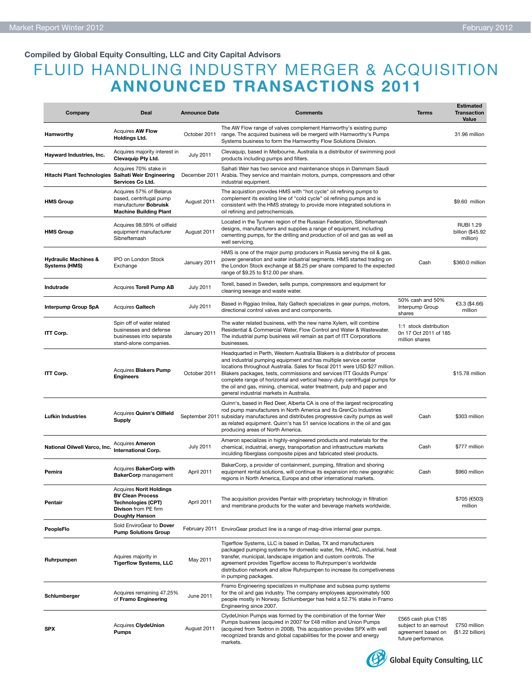#### **Compiled by Global Equity Consulting, LLC and City Capital Advisors**

## FLUID HANDLING INDUSTRY MERGER & ACQUISITION **ANNOUNCED TRANSACTIONS 2011**

| Company                                                 | Deal                                                                                                                                    | <b>Announce Date</b> | <b>Comments</b>                                                                                                                                                                                                                                                                                                                                                                                                                                                                                            | <b>Terms</b>                                                                              | <b>Estimated</b><br><b>Transaction</b><br>Value  |
|---------------------------------------------------------|-----------------------------------------------------------------------------------------------------------------------------------------|----------------------|------------------------------------------------------------------------------------------------------------------------------------------------------------------------------------------------------------------------------------------------------------------------------------------------------------------------------------------------------------------------------------------------------------------------------------------------------------------------------------------------------------|-------------------------------------------------------------------------------------------|--------------------------------------------------|
| Hamworthy                                               | <b>Acquires AW Flow</b><br><b>Holdings Ltd.</b>                                                                                         | October 2011         | The AW Flow range of valves complement Hamworthy's existing pump<br>range. The acquired business will be mergerd with Hamworthy's Pumps<br>Systems business to form the Hamworthy Flow Solutions Division.                                                                                                                                                                                                                                                                                                 |                                                                                           | 31.96 million                                    |
| Hayward Industries, Inc.                                | Acquires majority interest in<br>Clevaquip Pty Ltd.                                                                                     | <b>July 2011</b>     | Clevaquip, based in Melbourne, Australia is a distributor of swimming pool<br>products including pumps and filters.                                                                                                                                                                                                                                                                                                                                                                                        |                                                                                           |                                                  |
| Hitachi Plant Technologies Saihati Weir Engineering     | Acquires 70% stake in<br>Services Co Ltd.                                                                                               | December 2011        | Saihati Weir has two service and maintenance shops in Dammam Saudi<br>Arabia. They service and maintain motors, pumps, compressors and other<br>industrial equipment.                                                                                                                                                                                                                                                                                                                                      |                                                                                           |                                                  |
| <b>HMS Group</b>                                        | Acquires 57% of Belarus<br>based, centrifugal pump<br>manufacturer Bobruisk<br><b>Machine Building Plant</b>                            | August 2011          | The acquistion provides HMS with "hot cycle" oil refining pumps to<br>complement its existing line of "cold cycle" oil refining pumps and is<br>consistent with the HMS strategy to provide more integrated solutions in<br>oil refining and petrochemicals.                                                                                                                                                                                                                                               |                                                                                           | \$9.60 million                                   |
| <b>HMS Group</b>                                        | Acquires 98.59% of oilfield<br>equipment manufacturer<br>Sibneftemash                                                                   | August 2011          | Located in the Tyumen region of the Russian Federation, Sibneftemash<br>designs, manufacturers and supplies a range of equipment, including<br>cementing pumps, for the drilling and production of oil and gas as well as<br>well servicing.                                                                                                                                                                                                                                                               |                                                                                           | <b>RUBI 1.29</b><br>billion (\$45.92<br>million) |
| <b>Hydraulic Machines &amp;</b><br><b>Systems (HMS)</b> | IPO on London Stock<br>Exchange                                                                                                         | January 2011         | HMS is one of the major pump producers in Russia serving the oil & gas,<br>power generation and water industrial segments. HMS started trading on<br>the London Stock exchange at \$8.25 per share compared to the expected<br>range of \$9.25 to \$12.00 per share.                                                                                                                                                                                                                                       | Cash                                                                                      | \$360.0 million                                  |
| Indutrade                                               | Acquires Torell Pump AB                                                                                                                 | <b>July 2011</b>     | Torell, based in Sweden, sells pumps, compressors and equipment for<br>cleaning sewage and waste water.                                                                                                                                                                                                                                                                                                                                                                                                    |                                                                                           |                                                  |
| <b>Interpump Group SpA</b>                              | Acquires Galtech                                                                                                                        | <b>July 2011</b>     | Based in Rggiao Imilea, Italy Galtech specializes in gear pumps, motors,<br>directional control valves and and components.                                                                                                                                                                                                                                                                                                                                                                                 | 50% cash and 50%<br>Interpump Group<br>shares                                             | €3.3 (\$4.66)<br>million                         |
| ITT Corp.                                               | Spin off of water related<br>businesses and defense<br>businesses into separate<br>stand-alone companies.                               | January 2011         | The water related business, with the new name Xylem, will combine<br>Residential & Commercial Water, Flow Control and Water & Wastewater.<br>The industrial pump business will remain as part of ITT Corporations<br>businesses.                                                                                                                                                                                                                                                                           | 1:1 stock distribution<br>0n 17 Oct 2011 of 185<br>million shares                         |                                                  |
| ITT Corp.                                               | Acquires Blakers Pump<br><b>Engineers</b>                                                                                               | October 2011         | Headquarted in Perth, Western Australia Blakers is a distributor of process<br>and industrial pumping equipment and has multiple service center<br>locations throughout Australia. Sales for fiscal 2011 were USD \$27 million.<br>Blakers packages, tests, commissions and services ITT Goulds Pumps'<br>complete range of horizontal and vertical heavy-duty centrifugal pumps for<br>the oil and gas, mining, chemical, water treatment, pulp and paper and<br>general industrial markets in Australia. |                                                                                           | \$15.78 million                                  |
| <b>Lufkin Industries</b>                                | Acquires Quinn's Oilfield<br>Supply                                                                                                     |                      | Quinn's, based in Red Deer, Alberta CA is one of the largest reciprocating<br>rod pump manufacturers in North America and its GrenCo Industries<br>September 2011 subsidary manufactures and distributes progressive cavity pumps as well<br>as related equipment. Quinn's has 51 service locations in the oil and gas<br>producing areas of North America.                                                                                                                                                | Cash                                                                                      | \$303 million                                    |
| National Oilwell Varco, Inc.                            | Acquires <b>Ameron</b><br><b>International Corp.</b>                                                                                    | <b>July 2011</b>     | Ameron specializes in highly-engineered products and materials for the<br>chemical, industrial, energy, transportation and infrastructure markets<br>inculding fiberglass composite pipes and fabricated steel products.                                                                                                                                                                                                                                                                                   | Cash                                                                                      | \$777 million                                    |
| Pemira                                                  | Acquires BakerCorp with<br><b>BakerCorp</b> management                                                                                  | April 2011           | BakerCorp, a provider of containment, pumping, filtration and shoring<br>equipment rental solutions, will continue its expansion into new geograhic<br>regions in North America, Europe and other international markets.                                                                                                                                                                                                                                                                                   | Cash                                                                                      | \$960 million                                    |
| Pentair                                                 | <b>Acquires Norit Holdings</b><br><b>BV Clean Process</b><br><b>Technologies (CPT)</b><br>Divison from PE firm<br><b>Doughty Hanson</b> | April 2011           | The acquisition provides Pentair with proprietary technology in filtration<br>and membrane products for the water and beverage markets worldwide.                                                                                                                                                                                                                                                                                                                                                          |                                                                                           | \$705 (€503)<br>million                          |
| PeopleFlo                                               | Sold EnviroGear to Dover<br><b>Pump Solutions Group</b>                                                                                 |                      | February 2011 EnviroGear product line is a range of mag-drive internal gear pumps.                                                                                                                                                                                                                                                                                                                                                                                                                         |                                                                                           |                                                  |
| Ruhrpumpen                                              | Aquires majority in<br><b>Tigerflow Systems, LLC</b>                                                                                    | May 2011             | Tigerflow Systems, LLC is based in Dallas, TX and manufacturers<br>packaged pumping systems for domestic water, fire, HVAC, industrial, heat<br>transfer, municipal, landscape irrigation and custom controls. The<br>agreement provides Tigerflow access to Ruhrpumpen's worldwide<br>distribution network and allow Ruhrpumpen to increase its competiveness<br>in pumping packages.                                                                                                                     |                                                                                           |                                                  |
| Schlumberger                                            | Acquires remaining 47.25%<br>of Framo Engineering                                                                                       | June 2011            | Framo Engineering specializes in multiphase and subsea pump systems<br>for the oil and gas industry. The company employees approximately 500<br>people mostly in Norway. Schlumberger has held a 52.7% stake in Framo<br>Engineering since 2007.                                                                                                                                                                                                                                                           |                                                                                           |                                                  |
| <b>SPX</b>                                              | Acquires ClydeUnion<br>Pumps                                                                                                            | August 2011          | ClydeUnion Pumps was formed by the combination of the former Weir<br>Pumps business (acquired in 2007 for £48 million and Union Pumps<br>(acquired from Textron in 2008). This acquistion provides SPX with well<br>recognized brands and global capabilities for the power and energy<br>markets.                                                                                                                                                                                                         | £565 cash plus £185<br>subject to an earnout<br>agreement based on<br>future performance. | £750 million<br>(\$1.22 billion)                 |